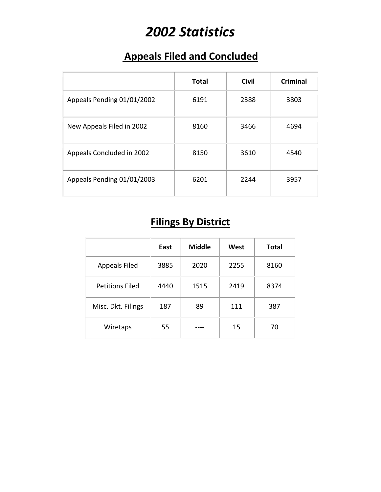# *2002 Statistics*

### **Appeals Filed and Concluded**

|                            | <b>Total</b> | <b>Civil</b> | <b>Criminal</b> |
|----------------------------|--------------|--------------|-----------------|
| Appeals Pending 01/01/2002 | 6191         | 2388         | 3803            |
| New Appeals Filed in 2002  | 8160         | 3466         | 4694            |
| Appeals Concluded in 2002  | 8150         | 3610         | 4540            |
| Appeals Pending 01/01/2003 | 6201         | 2244         | 3957            |

## **Filings By District**

|                        | East | <b>Middle</b> | West | <b>Total</b> |
|------------------------|------|---------------|------|--------------|
| <b>Appeals Filed</b>   | 3885 | 2020          | 2255 | 8160         |
| <b>Petitions Filed</b> | 4440 | 1515          | 2419 | 8374         |
| Misc. Dkt. Filings     | 187  | 89            | 111  | 387          |
| Wiretaps               | 55   |               | 15   | 70           |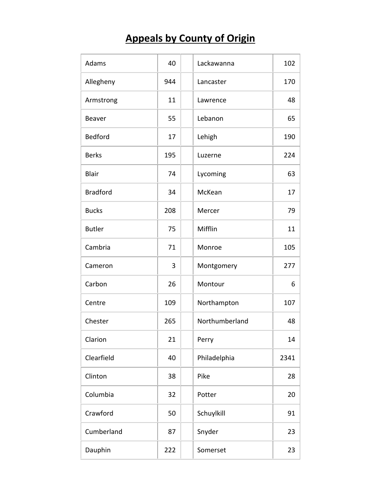## **Appeals by County of Origin**

| Adams           | 40  | Lackawanna     | 102  |
|-----------------|-----|----------------|------|
| Allegheny       | 944 | Lancaster      | 170  |
| Armstrong       | 11  | Lawrence       | 48   |
| Beaver          | 55  | Lebanon        | 65   |
| <b>Bedford</b>  | 17  | Lehigh         | 190  |
| <b>Berks</b>    | 195 | Luzerne        | 224  |
| <b>Blair</b>    | 74  | Lycoming       | 63   |
| <b>Bradford</b> | 34  | McKean         | 17   |
| <b>Bucks</b>    | 208 | Mercer         | 79   |
| <b>Butler</b>   | 75  | Mifflin        | 11   |
| Cambria         | 71  | Monroe         | 105  |
| Cameron         | 3   | Montgomery     | 277  |
| Carbon          | 26  | Montour        | 6    |
| Centre          | 109 | Northampton    | 107  |
| Chester         | 265 | Northumberland | 48   |
| Clarion         | 21  | Perry          | 14   |
| Clearfield      | 40  | Philadelphia   | 2341 |
| Clinton         | 38  | Pike           | 28   |
| Columbia        | 32  | Potter         | 20   |
| Crawford        | 50  | Schuylkill     | 91   |
| Cumberland      | 87  | Snyder         | 23   |
| Dauphin         | 222 | Somerset       | 23   |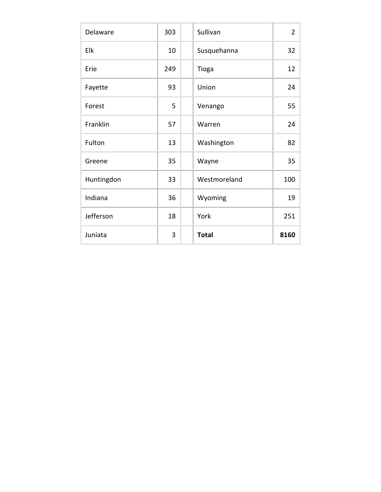| Delaware   | 303 | Sullivan     | $\overline{2}$ |
|------------|-----|--------------|----------------|
| Elk        | 10  | Susquehanna  | 32             |
| Erie       | 249 | Tioga        | 12             |
| Fayette    | 93  | Union        | 24             |
| Forest     | 5   | Venango      | 55             |
| Franklin   | 57  | Warren       | 24             |
| Fulton     | 13  | Washington   | 82             |
| Greene     | 35  | Wayne        | 35             |
| Huntingdon | 33  | Westmoreland | 100            |
| Indiana    | 36  | Wyoming      | 19             |
| Jefferson  | 18  | York         | 251            |
| Juniata    | 3   | <b>Total</b> | 8160           |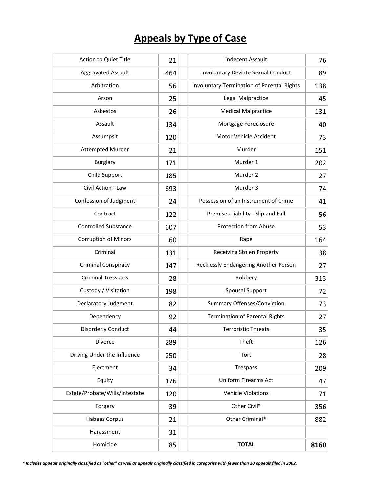### **Appeals by Type of Case**

| Action to Quiet Title          | 21  | <b>Indecent Assault</b>                    | 76   |
|--------------------------------|-----|--------------------------------------------|------|
| <b>Aggravated Assault</b>      | 464 | <b>Involuntary Deviate Sexual Conduct</b>  | 89   |
| Arbitration                    | 56  | Involuntary Termination of Parental Rights | 138  |
| Arson                          | 25  | <b>Legal Malpractice</b>                   | 45   |
| Asbestos                       | 26  | <b>Medical Malpractice</b>                 | 131  |
| Assault                        | 134 | Mortgage Foreclosure                       | 40   |
| Assumpsit                      | 120 | Motor Vehicle Accident                     | 73   |
| <b>Attempted Murder</b>        | 21  | Murder                                     | 151  |
| <b>Burglary</b>                | 171 | Murder 1                                   | 202  |
| Child Support                  | 185 | Murder 2                                   | 27   |
| Civil Action - Law             | 693 | Murder 3                                   | 74   |
| Confession of Judgment         | 24  | Possession of an Instrument of Crime       | 41   |
| Contract                       | 122 | Premises Liability - Slip and Fall         | 56   |
| <b>Controlled Substance</b>    | 607 | <b>Protection from Abuse</b>               | 53   |
| <b>Corruption of Minors</b>    | 60  | Rape                                       | 164  |
| Criminal                       | 131 | <b>Receiving Stolen Property</b>           | 38   |
| <b>Criminal Conspiracy</b>     | 147 | Recklessly Endangering Another Person      | 27   |
| <b>Criminal Tresspass</b>      | 28  | Robbery                                    | 313  |
| Custody / Visitation           | 198 | <b>Spousal Support</b>                     | 72   |
| Declaratory Judgment           | 82  | Summary Offenses/Conviction                | 73   |
| Dependency                     | 92  | <b>Termination of Parental Rights</b>      | 27   |
| Disorderly Conduct             | 44  | <b>Terroristic Threats</b>                 | 35   |
| Divorce                        | 289 | Theft                                      | 126  |
| Driving Under the Influence    | 250 | Tort                                       | 28   |
| Ejectment                      | 34  | Trespass                                   | 209  |
| Equity                         | 176 | <b>Uniform Firearms Act</b>                | 47   |
| Estate/Probate/Wills/Intestate | 120 | <b>Vehicle Violations</b>                  | 71   |
| Forgery                        | 39  | Other Civil*                               | 356  |
| <b>Habeas Corpus</b>           | 21  | Other Criminal*                            | 882  |
| Harassment                     | 31  |                                            |      |
| Homicide                       | 85  | <b>TOTAL</b>                               | 8160 |

*\* Includes appeals originally classified as "other" as well as appeals originally classified in categories with fewer than 20 appeals filed in 2002.*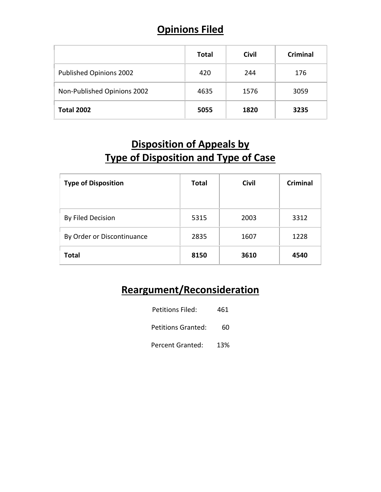#### **Opinions Filed**

|                             | <b>Total</b> | <b>Civil</b> | <b>Criminal</b> |
|-----------------------------|--------------|--------------|-----------------|
| Published Opinions 2002     | 420          | 244          | 176             |
| Non-Published Opinions 2002 | 4635         | 1576         | 3059            |
| <b>Total 2002</b>           | 5055         | 1820         | 3235            |

#### **Disposition of Appeals by Type of Disposition and Type of Case**

| <b>Type of Disposition</b> | <b>Total</b> | <b>Civil</b> | <b>Criminal</b> |
|----------------------------|--------------|--------------|-----------------|
| By Filed Decision          | 5315         | 2003         | 3312            |
| By Order or Discontinuance | 2835         | 1607         | 1228            |
| <b>Total</b>               | 8150         | 3610         | 4540            |

#### **Reargument/Reconsideration**

| Petitions Filed:          | 461 |
|---------------------------|-----|
| <b>Petitions Granted:</b> | 60  |
| <b>Percent Granted:</b>   | 13% |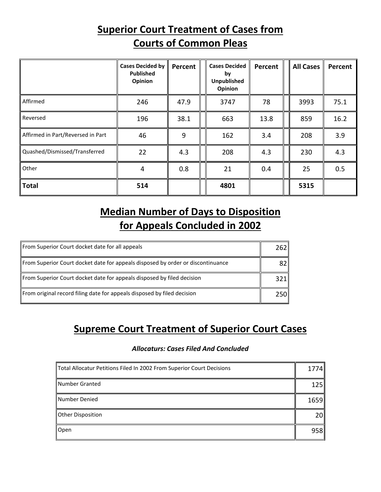#### **Superior Court Treatment of Cases from Courts of Common Pleas**

|                                   | <b>Cases Decided by</b><br><b>Published</b><br>Opinion | Percent | <b>Cases Decided</b><br>by<br><b>Unpublished</b><br>Opinion | Percent | <b>All Cases</b> | Percent |
|-----------------------------------|--------------------------------------------------------|---------|-------------------------------------------------------------|---------|------------------|---------|
| Affirmed                          | 246                                                    | 47.9    | 3747                                                        | 78      | 3993             | 75.1    |
| Reversed                          | 196                                                    | 38.1    | 663                                                         | 13.8    | 859              | 16.2    |
| Affirmed in Part/Reversed in Part | 46                                                     | 9       | 162                                                         | 3.4     | 208              | 3.9     |
| Quashed/Dismissed/Transferred     | 22                                                     | 4.3     | 208                                                         | 4.3     | 230              | 4.3     |
| Other                             | 4                                                      | 0.8     | 21                                                          | 0.4     | 25               | 0.5     |
| <b>Total</b>                      | 514                                                    |         | 4801                                                        |         | 5315             |         |

#### **Median Number of Days to Disposition for Appeals Concluded in 2002**

| From Superior Court docket date for all appeals                                 | 2621 |
|---------------------------------------------------------------------------------|------|
| From Superior Court docket date for appeals disposed by order or discontinuance | 821  |
| From Superior Court docket date for appeals disposed by filed decision          | 3211 |
| From original record filing date for appeals disposed by filed decision         | 2501 |

#### **Supreme Court Treatment of Superior Court Cases**

#### *Allocaturs: Cases Filed And Concluded*

| Total Allocatur Petitions Filed In 2002 From Superior Court Decisions |      |
|-----------------------------------------------------------------------|------|
| Number Granted                                                        | 125  |
| Number Denied                                                         | 1659 |
| Other Disposition                                                     | 20   |
| <b>Open</b>                                                           | 958  |